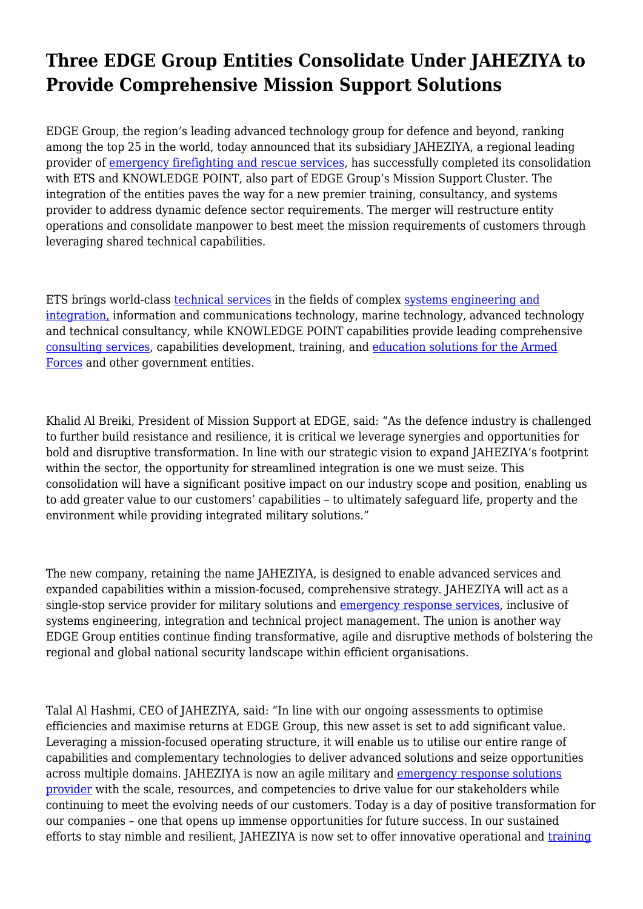## **Three EDGE Group Entities Consolidate Under JAHEZIYA to Provide Comprehensive Mission Support Solutions**

EDGE Group, the region's leading advanced technology group for defence and beyond, ranking among the top 25 in the world, today announced that its subsidiary JAHEZIYA, a regional leading provider of [emergency firefighting and rescue services,](https://jaheziya.ae/) has successfully completed its consolidation with ETS and KNOWLEDGE POINT, also part of EDGE Group's Mission Support Cluster. The integration of the entities paves the way for a new premier training, consultancy, and systems provider to address dynamic defence sector requirements. The merger will restructure entity operations and consolidate manpower to best meet the mission requirements of customers through leveraging shared technical capabilities.

ETS brings world-class [technical services](https://ets.ae/) in the fields of complex [systems engineering and](https://ets.ae/services#block-technical-services-content) [integration,](https://ets.ae/services#block-technical-services-content) information and communications technology, marine technology, advanced technology and technical consultancy, while KNOWLEDGE POINT capabilities provide leading comprehensive [consulting services,](https://kpoint.ae/consultancy) capabilities development, training, and [education solutions for the Armed](https://kpoint.ae/education) [Forces](https://kpoint.ae/education) and other government entities.

Khalid Al Breiki, President of Mission Support at EDGE, said: "As the defence industry is challenged to further build resistance and resilience, it is critical we leverage synergies and opportunities for bold and disruptive transformation. In line with our strategic vision to expand JAHEZIYA's footprint within the sector, the opportunity for streamlined integration is one we must seize. This consolidation will have a significant positive impact on our industry scope and position, enabling us to add greater value to our customers' capabilities – to ultimately safeguard life, property and the environment while providing integrated military solutions."

The new company, retaining the name JAHEZIYA, is designed to enable advanced services and expanded capabilities within a mission-focused, comprehensive strategy. JAHEZIYA will act as a single-stop service provider for military solutions and [emergency response services,](https://jaheziya.ae/fire-emergency-services) inclusive of systems engineering, integration and technical project management. The union is another way EDGE Group entities continue finding transformative, agile and disruptive methods of bolstering the regional and global national security landscape within efficient organisations.

Talal Al Hashmi, CEO of JAHEZIYA, said: "In line with our ongoing assessments to optimise efficiencies and maximise returns at EDGE Group, this new asset is set to add significant value. Leveraging a mission-focused operating structure, it will enable us to utilise our entire range of capabilities and complementary technologies to deliver advanced solutions and seize opportunities across multiple domains. JAHEZIYA is now an agile military and [emergency response solutions](https://jaheziya.ae/) [provider](https://jaheziya.ae/) with the scale, resources, and competencies to drive value for our stakeholders while continuing to meet the evolving needs of our customers. Today is a day of positive transformation for our companies – one that opens up immense opportunities for future success. In our sustained efforts to stay nimble and resilient, JAHEZIYA is now set to offer innovative operational and [training](https://jaheziya.ae/fire-fighting)